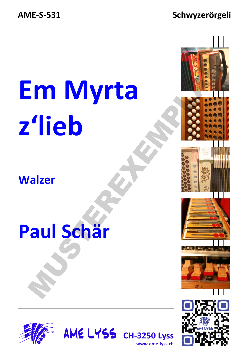#### Schwyzerörgeli

# **Em Myrta** z'lieb

### **Walzer**

### Paul Schär





www.ame-lyss.ch